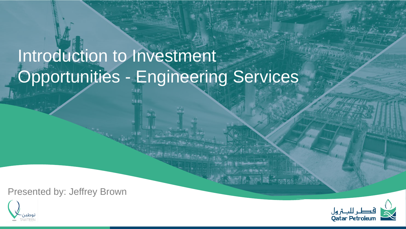# Introduction to Investment Opportunities - Engineering Services

Presented by: Jeffrey Brown



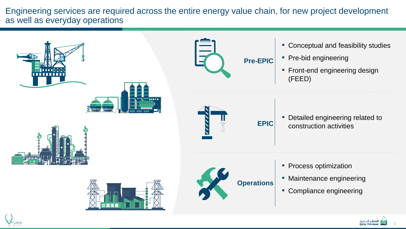Engineering services are required across the entire energy value chain, for new project development as well as everyday operations

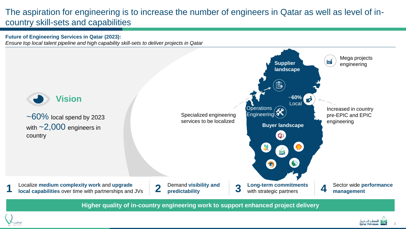### The aspiration for engineering is to increase the number of engineers in Qatar as well as level of incountry skill-sets and capabilities

#### **Future of Engineering Services in Qatar (2023):** *Ensure top local talent pipeline and high capability skill-sets to deliver projects in Qatar*



**Higher quality of in-country engineering work to support enhanced project delivery** 



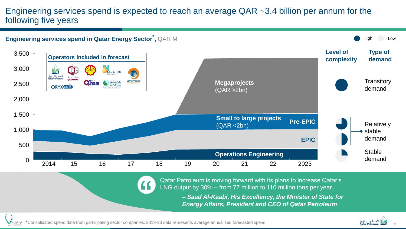### Engineering services spend is expected to reach an average QAR ~3.4 billion per annum for the following five years



Qatar Petroleum is moving forward with its plans to increase Qatar's LNG output by 30% – from 77 million to 110 million tons per year.

> *– Saad Al-Kaabi, His Excellency, the Minister of State for Energy Affairs, President and CEO of Qatar Petroleum*



**\***Consolidated spend data from participating sector companies. 2019-23 data represents average annualised forecasted spend.

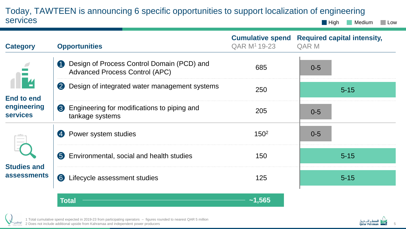#### Today, TAWTEEN is announcing 6 specific opportunities to support localization of engineering services **High** Medium Low

| <b>Category</b>                                            | <b>Opportunities</b>                                                                     | <b>Cumulative spend</b><br>QAR M <sup>1</sup> 19-23 | <b>Required capital intensity,</b><br><b>QAR M</b> |
|------------------------------------------------------------|------------------------------------------------------------------------------------------|-----------------------------------------------------|----------------------------------------------------|
| IĒ4<br><b>End to end</b><br>engineering<br><b>services</b> | Design of Process Control Domain (PCD) and<br>4<br><b>Advanced Process Control (APC)</b> | 685                                                 | $0 - 5$                                            |
|                                                            | $\boldsymbol{2}$<br>Design of integrated water management systems                        | 250                                                 | $5 - 15$                                           |
|                                                            | Engineering for modifications to piping and<br>3<br>tankage systems                      | 205                                                 | $0 - 5$                                            |
| <b>Studies and</b><br><b>assessments</b>                   | Power system studies<br>$\overline{4}$                                                   | 150 <sup>2</sup>                                    | $0 - 5$                                            |
|                                                            | 6<br>Environmental, social and health studies                                            | 150                                                 | $5 - 15$                                           |
|                                                            | $\bullet$<br>Lifecycle assessment studies                                                | 125                                                 | $5 - 15$                                           |

**Total ~1,565**



1 Total cumulative spend expected in 2019-23 from participating operators – figures rounded to nearest QAR 5 million 2 Does not include additional upside from Kahramaa and independent power producers